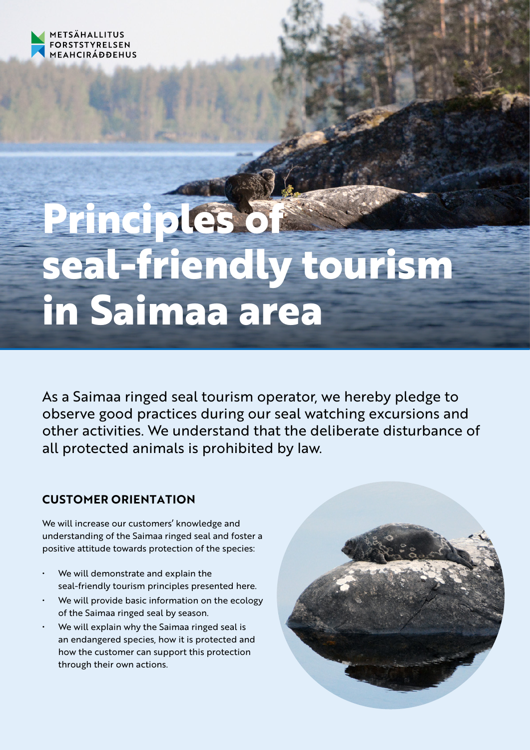

# **Principles of seal-friendly tourism in Saimaa area**

As a Saimaa ringed seal tourism operator, we hereby pledge to observe good practices during our seal watching excursions and other activities. We understand that the deliberate disturbance of all protected animals is prohibited by law.

## **CUSTOMER ORIENTATION**

We will increase our customers' knowledge and understanding of the Saimaa ringed seal and foster a positive attitude towards protection of the species:

- We will demonstrate and explain the seal-friendly tourism principles presented here.
- We will provide basic information on the ecology of the Saimaa ringed seal by season.
- We will explain why the Saimaa ringed seal is an endangered species, how it is protected and how the customer can support this protection through their own actions.